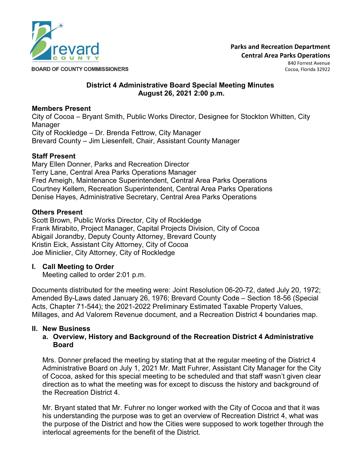

**BOARD OF COUNTY COMMISSIONERS** 

840 Forrest Avenue Cocoa, Florida 32922

#### **District 4 Administrative Board Special Meeting Minutes August 26, 2021 2:00 p.m.**

## **Members Present**

City of Cocoa – Bryant Smith, Public Works Director, Designee for Stockton Whitten, City Manager City of Rockledge – Dr. Brenda Fettrow, City Manager Brevard County – Jim Liesenfelt, Chair, Assistant County Manager

# **Staff Present**

Mary Ellen Donner, Parks and Recreation Director Terry Lane, Central Area Parks Operations Manager Fred Ameigh, Maintenance Superintendent, Central Area Parks Operations Courtney Kellem, Recreation Superintendent, Central Area Parks Operations Denise Hayes, Administrative Secretary, Central Area Parks Operations

# **Others Present**

Scott Brown, Public Works Director, City of Rockledge Frank Mirabito, Project Manager, Capital Projects Division, City of Cocoa Abigail Jorandby, Deputy County Attorney, Brevard County Kristin Eick, Assistant City Attorney, City of Cocoa Joe Miniclier, City Attorney, City of Rockledge

## **I. Call Meeting to Order**

Meeting called to order 2:01 p.m.

Documents distributed for the meeting were: Joint Resolution 06-20-72, dated July 20, 1972; Amended By-Laws dated January 26, 1976; Brevard County Code – Section 18-56 (Special Acts, Chapter 71-544); the 2021-2022 Preliminary Estimated Taxable Property Values, Millages, and Ad Valorem Revenue document, and a Recreation District 4 boundaries map.

# **II. New Business**

# **a. Overview, History and Background of the Recreation District 4 Administrative Board**

Mrs. Donner prefaced the meeting by stating that at the regular meeting of the District 4 Administrative Board on July 1, 2021 Mr. Matt Fuhrer, Assistant City Manager for the City of Cocoa, asked for this special meeting to be scheduled and that staff wasn't given clear direction as to what the meeting was for except to discuss the history and background of the Recreation District 4.

Mr. Bryant stated that Mr. Fuhrer no longer worked with the City of Cocoa and that it was his understanding the purpose was to get an overview of Recreation District 4, what was the purpose of the District and how the Cities were supposed to work together through the interlocal agreements for the benefit of the District.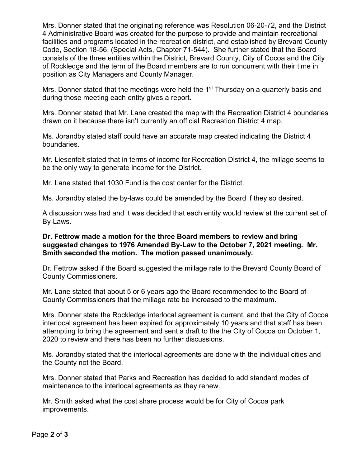Mrs. Donner stated that the originating reference was Resolution 06-20-72, and the District 4 Administrative Board was created for the purpose to provide and maintain recreational facilities and programs located in the recreation district, and established by Brevard County Code, Section 18-56, (Special Acts, Chapter 71-544). She further stated that the Board consists of the three entities within the District, Brevard County, City of Cocoa and the City of Rockledge and the term of the Board members are to run concurrent with their time in position as City Managers and County Manager.

Mrs. Donner stated that the meetings were held the  $1<sup>st</sup>$  Thursday on a quarterly basis and during those meeting each entity gives a report.

Mrs. Donner stated that Mr. Lane created the map with the Recreation District 4 boundaries drawn on it because there isn't currently an official Recreation District 4 map.

Ms. Jorandby stated staff could have an accurate map created indicating the District 4 boundaries.

Mr. Liesenfelt stated that in terms of income for Recreation District 4, the millage seems to be the only way to generate income for the District.

Mr. Lane stated that 1030 Fund is the cost center for the District.

Ms. Jorandby stated the by-laws could be amended by the Board if they so desired.

A discussion was had and it was decided that each entity would review at the current set of By-Laws.

## **Dr. Fettrow made a motion for the three Board members to review and bring suggested changes to 1976 Amended By-Law to the October 7, 2021 meeting. Mr. Smith seconded the motion. The motion passed unanimously.**

Dr. Fettrow asked if the Board suggested the millage rate to the Brevard County Board of County Commissioners.

Mr. Lane stated that about 5 or 6 years ago the Board recommended to the Board of County Commissioners that the millage rate be increased to the maximum.

Mrs. Donner state the Rockledge interlocal agreement is current, and that the City of Cocoa interlocal agreement has been expired for approximately 10 years and that staff has been attempting to bring the agreement and sent a draft to the the City of Cocoa on October 1, 2020 to review and there has been no further discussions.

Ms. Jorandby stated that the interlocal agreements are done with the individual cities and the County not the Board.

Mrs. Donner stated that Parks and Recreation has decided to add standard modes of maintenance to the interlocal agreements as they renew.

Mr. Smith asked what the cost share process would be for City of Cocoa park improvements.